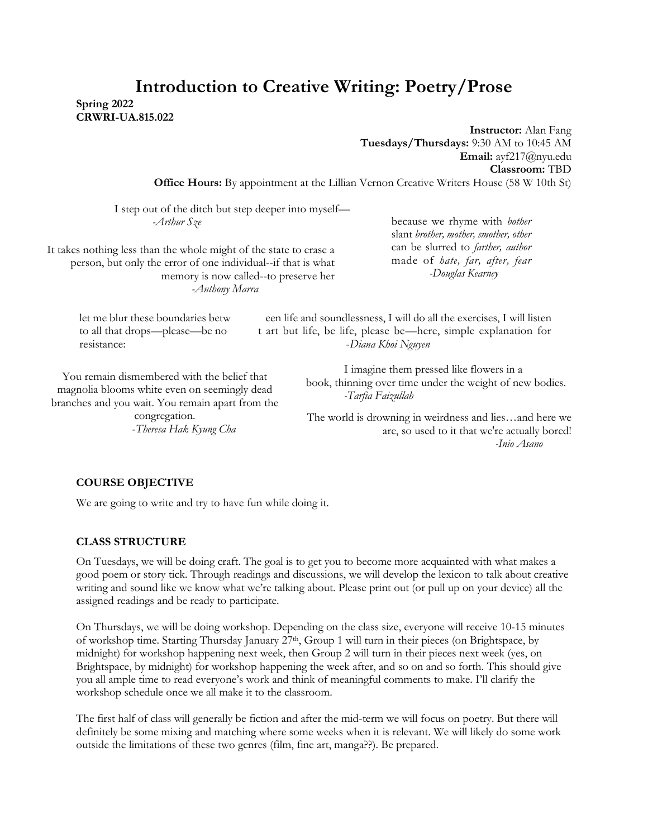# **Introduction to Creative Writing: Poetry/Prose**

**Spring 2022 CRWRI-UA.815.022**

> **Instructor:** Alan Fang **Tuesdays/Thursdays:** 9:30 AM to 10:45 AM **Email:** ayf217@nyu.edu **Classroom:** TBD

**Office Hours:** By appointment at the Lillian Vernon Creative Writers House (58 W 10th St)

I step out of the ditch but step deeper into myself— *-Arthur Sze*

It takes nothing less than the whole might of the state to erase a person, but only the error of one individual--if that is what memory is now called--to preserve her *-Anthony Marra*

because we rhyme with *bother*  slant *brother, mother, smother, other* can be slurred to *farther, author* made of *hate, far, after, fear -Douglas Kearney* 

You remain dismembered with the belief that magnolia blooms white even on seemingly dead branches and you wait. You remain apart from the

congregation. -*Theresa Hak Kyung Cha*

let me blur these boundaries betw een life and soundlessness, I will do all the exercises, I will listen to all that drops—please—be no t art but life, be life, please be—here, simple explanation for resistance: -*Diana Khoi Nguyen*

> I imagine them pressed like flowers in a book, thinning over time under the weight of new bodies. *-Tarfia Faizullah*

The world is drowning in weirdness and lies…and here we are, so used to it that we're actually bored! *-Inio Asano*

#### **COURSE OBJECTIVE**

We are going to write and try to have fun while doing it.

#### **CLASS STRUCTURE**

On Tuesdays, we will be doing craft. The goal is to get you to become more acquainted with what makes a good poem or story tick. Through readings and discussions, we will develop the lexicon to talk about creative writing and sound like we know what we're talking about. Please print out (or pull up on your device) all the assigned readings and be ready to participate.

On Thursdays, we will be doing workshop. Depending on the class size, everyone will receive 10-15 minutes of workshop time. Starting Thursday January 27<sup>th</sup>, Group 1 will turn in their pieces (on Brightspace, by midnight) for workshop happening next week, then Group 2 will turn in their pieces next week (yes, on Brightspace, by midnight) for workshop happening the week after, and so on and so forth. This should give you all ample time to read everyone's work and think of meaningful comments to make. I'll clarify the workshop schedule once we all make it to the classroom.

The first half of class will generally be fiction and after the mid-term we will focus on poetry. But there will definitely be some mixing and matching where some weeks when it is relevant. We will likely do some work outside the limitations of these two genres (film, fine art, manga??). Be prepared.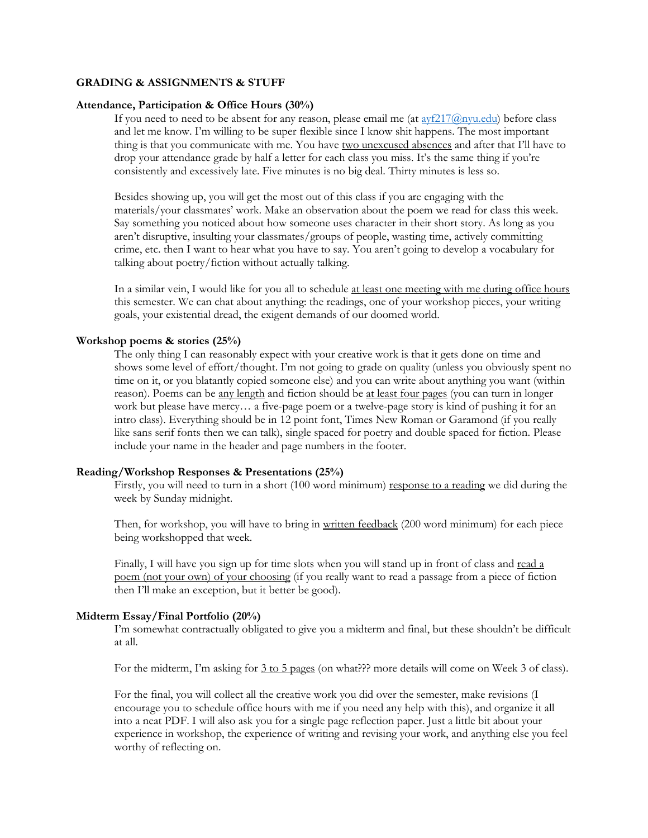#### **GRADING & ASSIGNMENTS & STUFF**

#### **Attendance, Participation & Office Hours (30%)**

If you need to need to be absent for any reason, please email me (at  $\frac{avg217@nyu.edu}{e}$ ) before class and let me know. I'm willing to be super flexible since I know shit happens. The most important thing is that you communicate with me. You have two unexcused absences and after that I'll have to drop your attendance grade by half a letter for each class you miss. It's the same thing if you're consistently and excessively late. Five minutes is no big deal. Thirty minutes is less so.

Besides showing up, you will get the most out of this class if you are engaging with the materials/your classmates' work. Make an observation about the poem we read for class this week. Say something you noticed about how someone uses character in their short story. As long as you aren't disruptive, insulting your classmates/groups of people, wasting time, actively committing crime, etc. then I want to hear what you have to say. You aren't going to develop a vocabulary for talking about poetry/fiction without actually talking.

In a similar vein, I would like for you all to schedule at least one meeting with me during office hours this semester. We can chat about anything: the readings, one of your workshop pieces, your writing goals, your existential dread, the exigent demands of our doomed world.

#### **Workshop poems & stories (25%)**

The only thing I can reasonably expect with your creative work is that it gets done on time and shows some level of effort/thought. I'm not going to grade on quality (unless you obviously spent no time on it, or you blatantly copied someone else) and you can write about anything you want (within reason). Poems can be <u>any length</u> and fiction should be <u>at least four pages</u> (you can turn in longer work but please have mercy… a five-page poem or a twelve-page story is kind of pushing it for an intro class). Everything should be in 12 point font, Times New Roman or Garamond (if you really like sans serif fonts then we can talk), single spaced for poetry and double spaced for fiction. Please include your name in the header and page numbers in the footer.

#### **Reading/Workshop Responses & Presentations (25%)**

Firstly, you will need to turn in a short (100 word minimum) response to a reading we did during the week by Sunday midnight.

Then, for workshop, you will have to bring in written feedback (200 word minimum) for each piece being workshopped that week.

Finally, I will have you sign up for time slots when you will stand up in front of class and read a poem (not your own) of your choosing (if you really want to read a passage from a piece of fiction then I'll make an exception, but it better be good).

#### **Midterm Essay/Final Portfolio (20%)**

I'm somewhat contractually obligated to give you a midterm and final, but these shouldn't be difficult at all.

For the midterm, I'm asking for 3 to 5 pages (on what??? more details will come on Week 3 of class).

For the final, you will collect all the creative work you did over the semester, make revisions (I encourage you to schedule office hours with me if you need any help with this), and organize it all into a neat PDF. I will also ask you for a single page reflection paper. Just a little bit about your experience in workshop, the experience of writing and revising your work, and anything else you feel worthy of reflecting on.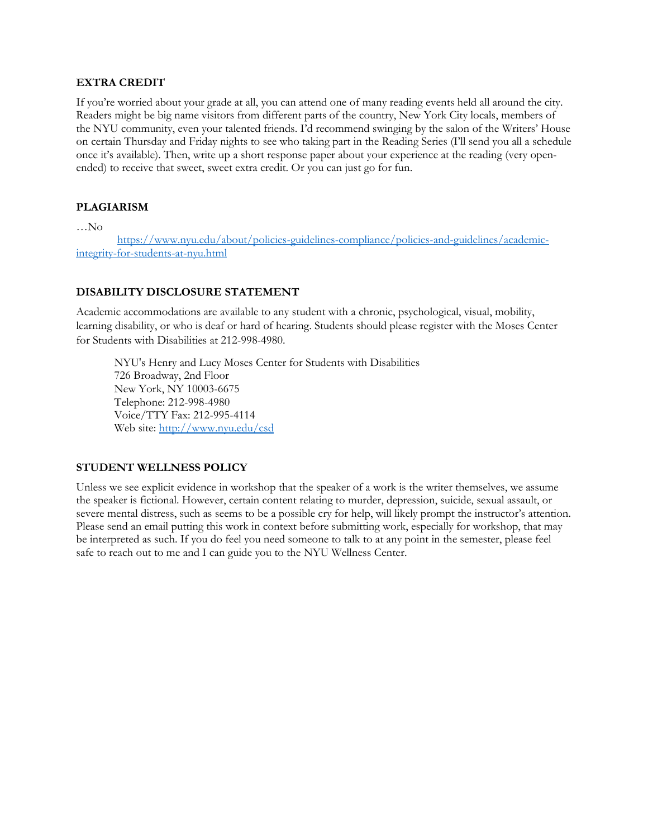#### **EXTRA CREDIT**

If you're worried about your grade at all, you can attend one of many reading events held all around the city. Readers might be big name visitors from different parts of the country, New York City locals, members of the NYU community, even your talented friends. I'd recommend swinging by the salon of the Writers' House on certain Thursday and Friday nights to see who taking part in the Reading Series (I'll send you all a schedule once it's available). Then, write up a short response paper about your experience at the reading (very openended) to receive that sweet, sweet extra credit. Or you can just go for fun.

### **PLAGIARISM**

…No

[https://www.nyu.edu/about/policies-guidelines-compliance/policies-and-guidelines/academic](https://www.nyu.edu/about/policies-guidelines-compliance/policies-and-guidelines/academic-integrity-for-students-at-nyu.html)[integrity-for-students-at-nyu.html](https://www.nyu.edu/about/policies-guidelines-compliance/policies-and-guidelines/academic-integrity-for-students-at-nyu.html)

#### **DISABILITY DISCLOSURE STATEMENT**

Academic accommodations are available to any student with a chronic, psychological, visual, mobility, learning disability, or who is deaf or hard of hearing. Students should please register with the Moses Center for Students with Disabilities at 212-998-4980.

NYU's Henry and Lucy Moses Center for Students with Disabilities 726 Broadway, 2nd Floor New York, NY 10003-6675 Telephone: 212-998-4980 Voice/TTY Fax: 212-995-4114 Web site:<http://www.nyu.edu/csd>

#### **STUDENT WELLNESS POLICY**

Unless we see explicit evidence in workshop that the speaker of a work is the writer themselves, we assume the speaker is fictional. However, certain content relating to murder, depression, suicide, sexual assault, or severe mental distress, such as seems to be a possible cry for help, will likely prompt the instructor's attention. Please send an email putting this work in context before submitting work, especially for workshop, that may be interpreted as such. If you do feel you need someone to talk to at any point in the semester, please feel safe to reach out to me and I can guide you to the NYU Wellness Center.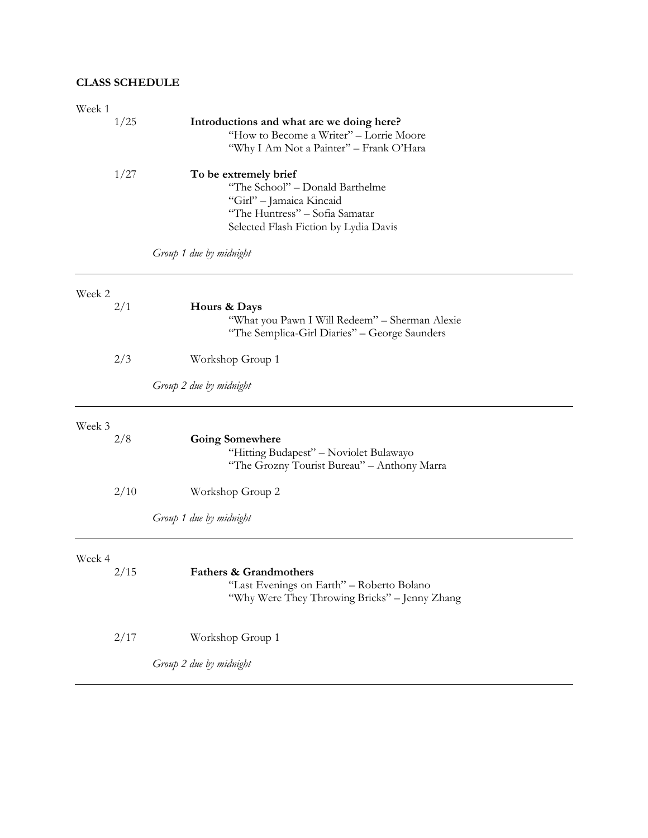## **CLASS SCHEDULE**

| Week 1 |      |                                                                                    |
|--------|------|------------------------------------------------------------------------------------|
|        | 1/25 | Introductions and what are we doing here?                                          |
|        |      | "How to Become a Writer" - Lorrie Moore<br>"Why I Am Not a Painter" - Frank O'Hara |
|        |      |                                                                                    |
|        | 1/27 | To be extremely brief<br>"The School" - Donald Barthelme                           |
|        |      | "Girl" - Jamaica Kincaid                                                           |
|        |      | "The Huntress" - Sofia Samatar                                                     |
|        |      | Selected Flash Fiction by Lydia Davis                                              |
|        |      | Group 1 due by midnight                                                            |
| Week 2 |      |                                                                                    |
|        | 2/1  | Hours & Days                                                                       |
|        |      | "What you Pawn I Will Redeem" - Sherman Alexie                                     |
|        |      | "The Semplica-Girl Diaries" - George Saunders                                      |
|        | 2/3  | Workshop Group 1                                                                   |
|        |      | Group 2 due by midnight                                                            |
| Week 3 |      |                                                                                    |
|        | 2/8  | <b>Going Somewhere</b>                                                             |
|        |      | "Hitting Budapest" - Noviolet Bulawayo                                             |
|        |      | "The Grozny Tourist Bureau" - Anthony Marra                                        |
|        | 2/10 | Workshop Group 2                                                                   |
|        |      | Group 1 due by midnight                                                            |
| Week 4 |      |                                                                                    |
|        | 2/15 | <b>Fathers &amp; Grandmothers</b>                                                  |
|        |      | "Last Evenings on Earth" - Roberto Bolano                                          |
|        |      | "Why Were They Throwing Bricks" - Jenny Zhang                                      |
|        | 2/17 | Workshop Group 1                                                                   |
|        |      |                                                                                    |
|        |      | Group 2 due by midnight                                                            |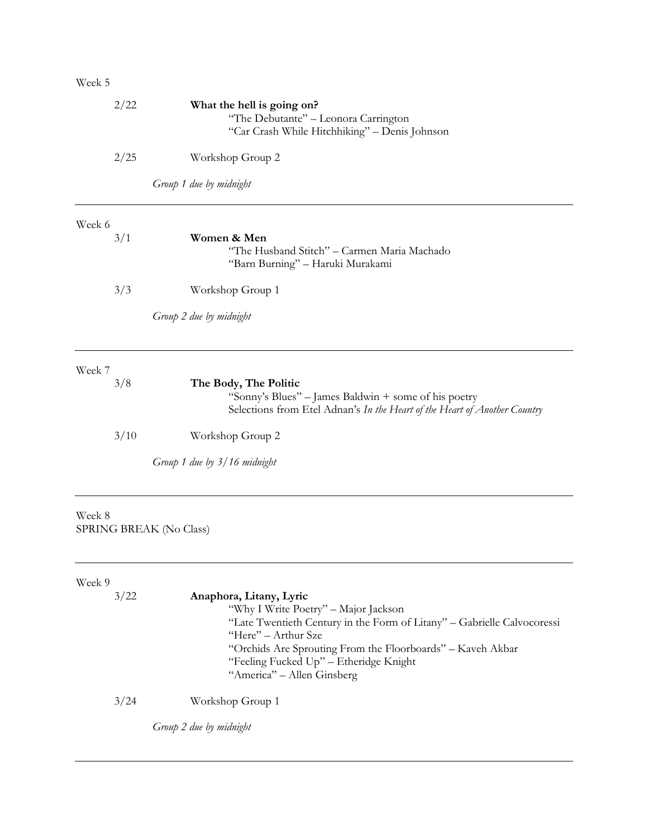## Week 5

| 2/22   |      | What the hell is going on?                                                |
|--------|------|---------------------------------------------------------------------------|
|        |      | "The Debutante" - Leonora Carrington                                      |
|        |      | "Car Crash While Hitchhiking" - Denis Johnson                             |
|        | 2/25 | Workshop Group 2                                                          |
|        |      | Group 1 due by midnight                                                   |
| Week 6 |      |                                                                           |
|        | 3/1  | Women & Men                                                               |
|        |      | "The Husband Stitch" - Carmen Maria Machado                               |
|        |      | "Barn Burning" - Haruki Murakami                                          |
|        | 3/3  | Workshop Group 1                                                          |
|        |      |                                                                           |
|        |      | Group 2 due by midnight                                                   |
| Week 7 |      |                                                                           |
|        | 3/8  | The Body, The Politic                                                     |
|        |      | "Sonny's Blues" – James Baldwin + some of his poetry                      |
|        |      | Selections from Etel Adnan's In the Heart of the Heart of Another Country |
|        | 3/10 | Workshop Group 2                                                          |
|        |      | Group 1 due by 3/16 midnight                                              |
|        |      |                                                                           |
| Week 8 |      |                                                                           |
|        |      | SPRING BREAK (No Class)                                                   |
|        |      |                                                                           |
|        |      |                                                                           |
|        |      |                                                                           |

| Week 9 |                                                                                                                                                                                                                                                                                                         |
|--------|---------------------------------------------------------------------------------------------------------------------------------------------------------------------------------------------------------------------------------------------------------------------------------------------------------|
| 3/22   | Anaphora, Litany, Lyric<br>"Why I Write Poetry" - Major Jackson<br>"Late Twentieth Century in the Form of Litany" - Gabrielle Calvocoressi<br>"Here" – Arthur Sze<br>"Orchids Are Sprouting From the Floorboards" - Kaveh Akbar<br>"Feeling Fucked Up" - Etheridge Knight<br>"America" – Allen Ginsberg |
| 3/24   | Workshop Group 1                                                                                                                                                                                                                                                                                        |

*Group 2 due by midnight*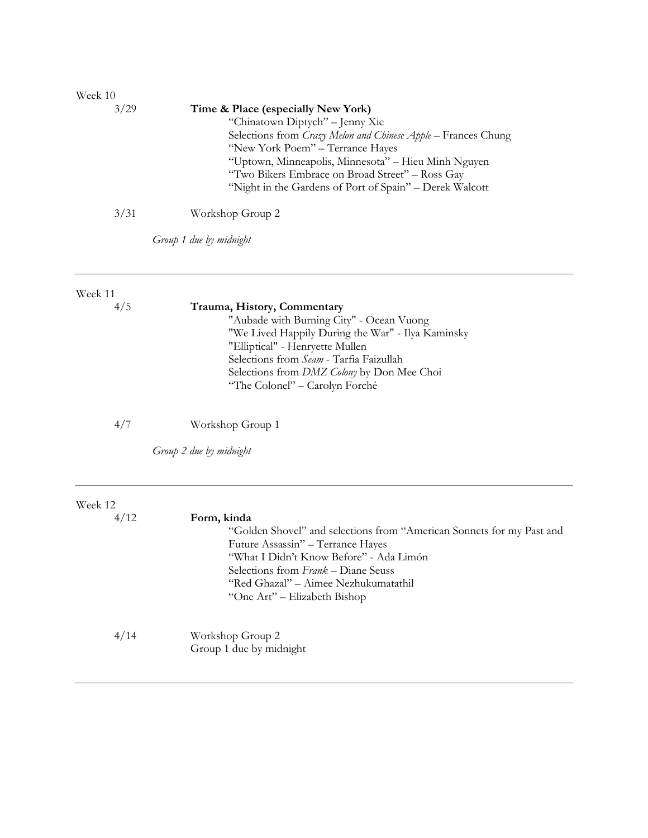| Week 10 |                                                                                                                                                                                                                                                                                                                                                 |
|---------|-------------------------------------------------------------------------------------------------------------------------------------------------------------------------------------------------------------------------------------------------------------------------------------------------------------------------------------------------|
| 3/29    | Time & Place (especially New York)<br>"Chinatown Diptych" - Jenny Xie<br>Selections from Crazy Melon and Chinese Apple - Frances Chung<br>"New York Poem" – Terrance Hayes<br>"Uptown, Minneapolis, Minnesota" – Hieu Minh Nguyen<br>"Two Bikers Embrace on Broad Street" - Ross Gay<br>"Night in the Gardens of Port of Spain" – Derek Walcott |
| 3/31    | Workshop Group 2                                                                                                                                                                                                                                                                                                                                |

*Group 1 due by midnight*

#### Week 11

|  | 4/ |  |
|--|----|--|
|  |    |  |

## 4/5 **Trauma, History, Commentary**

"Aubade with Burning City" - Ocean Vuong "We Lived Happily During the War" - Ilya Kaminsky "Elliptical" - Henryette Mullen Selections from *Seam* - Tarfia Faizullah Selections from *DMZ Colony* by Don Mee Choi "The Colonel" – Carolyn Forché

4/7 Workshop Group 1

*Group 2 due by midnight*

| Week 12 |                                                                                                                                                                                                             |
|---------|-------------------------------------------------------------------------------------------------------------------------------------------------------------------------------------------------------------|
| 4/12    | Form, kinda<br>"Golden Shovel" and selections from "American Sonnets for my Past and<br>Future Assassin" - Terrance Hayes<br>"What I Didn't Know Before" - Ada Limón<br>Selections from Frank – Diane Seuss |
|         | "Red Ghazal" - Aimee Nezhukumatathil<br>"One Art" – Elizabeth Bishop                                                                                                                                        |
| 4/14    | Workshop Group 2<br>Group 1 due by midnight                                                                                                                                                                 |